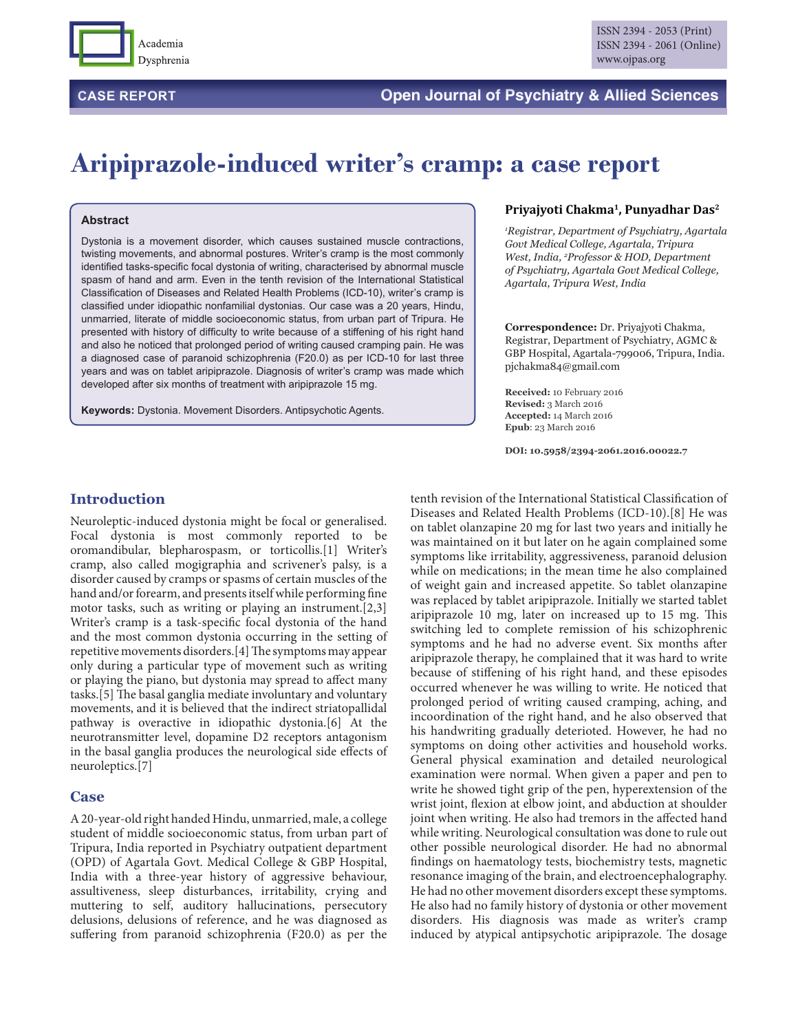

# **CASE REPORT Open Journal of Psychiatry & Allied Sciences**

# **Aripiprazole-induced writer's cramp: a case report**

#### **Abstract**

Dystonia is a movement disorder, which causes sustained muscle contractions, twisting movements, and abnormal postures. Writer's cramp is the most commonly identified tasks-specific focal dystonia of writing, characterised by abnormal muscle spasm of hand and arm. Even in the tenth revision of the International Statistical Classification of Diseases and Related Health Problems (ICD-10), writer's cramp is classified under idiopathic nonfamilial dystonias. Our case was a 20 years, Hindu, unmarried, literate of middle socioeconomic status, from urban part of Tripura. He presented with history of difficulty to write because of a stiffening of his right hand and also he noticed that prolonged period of writing caused cramping pain. He was a diagnosed case of paranoid schizophrenia (F20.0) as per ICD-10 for last three years and was on tablet aripiprazole. Diagnosis of writer's cramp was made which developed after six months of treatment with aripiprazole 15 mg.

**Keywords:** Dystonia. Movement Disorders. Antipsychotic Agents.

#### **Priyajyoti Chakma1, Punyadhar Das2**

*1 Registrar, Department of Psychiatry, Agartala Govt Medical College, Agartala, Tripura West, India, 2 Professor & HOD, Department of Psychiatry, Agartala Govt Medical College, Agartala, Tripura West, India*

**Correspondence:** Dr. Priyajyoti Chakma, Registrar, Department of Psychiatry, AGMC & GBP Hospital, Agartala-799006, Tripura, India. pjchakma84@gmail.com

**Received:** 10 February 2016 **Revised:** 3 March 2016 **Accepted:** 14 March 2016 **Epub**: 23 March 2016

**DOI: 10.5958/2394-2061.2016.00022.7**

#### **Introduction**

Neuroleptic-induced dystonia might be focal or generalised. Focal dystonia is most commonly reported to be oromandibular, blepharospasm, or torticollis.[1] Writer's cramp, also called mogigraphia and scrivener's palsy, is a disorder caused by cramps or spasms of certain muscles of the hand and/or forearm, and presents itself while performing fine motor tasks, such as writing or playing an instrument.[2,3] Writer's cramp is a task-specific focal dystonia of the hand and the most common dystonia occurring in the setting of repetitive movements disorders.[4] The symptoms may appear only during a particular type of movement such as writing or playing the piano, but dystonia may spread to affect many tasks.[5] The basal ganglia mediate involuntary and voluntary movements, and it is believed that the indirect striatopallidal pathway is overactive in idiopathic dystonia.[6] At the neurotransmitter level, dopamine D2 receptors antagonism in the basal ganglia produces the neurological side effects of neuroleptics.[7]

#### **Case**

A 20-year-old right handed Hindu, unmarried, male, a college student of middle socioeconomic status, from urban part of Tripura, India reported in Psychiatry outpatient department (OPD) of Agartala Govt. Medical College & GBP Hospital, India with a three-year history of aggressive behaviour, assultiveness, sleep disturbances, irritability, crying and muttering to self, auditory hallucinations, persecutory delusions, delusions of reference, and he was diagnosed as suffering from paranoid schizophrenia (F20.0) as per the

tenth revision of the International Statistical Classification of Diseases and Related Health Problems (ICD-10).[8] He was on tablet olanzapine 20 mg for last two years and initially he was maintained on it but later on he again complained some symptoms like irritability, aggressiveness, paranoid delusion while on medications; in the mean time he also complained of weight gain and increased appetite. So tablet olanzapine was replaced by tablet aripiprazole. Initially we started tablet aripiprazole 10 mg, later on increased up to 15 mg. This switching led to complete remission of his schizophrenic symptoms and he had no adverse event. Six months after aripiprazole therapy, he complained that it was hard to write because of stiffening of his right hand, and these episodes occurred whenever he was willing to write. He noticed that prolonged period of writing caused cramping, aching, and incoordination of the right hand, and he also observed that his handwriting gradually deterioted. However, he had no symptoms on doing other activities and household works. General physical examination and detailed neurological examination were normal. When given a paper and pen to write he showed tight grip of the pen, hyperextension of the wrist joint, flexion at elbow joint, and abduction at shoulder joint when writing. He also had tremors in the affected hand while writing. Neurological consultation was done to rule out other possible neurological disorder. He had no abnormal findings on haematology tests, biochemistry tests, magnetic resonance imaging of the brain, and electroencephalography. He had no other movement disorders except these symptoms. He also had no family history of dystonia or other movement disorders. His diagnosis was made as writer's cramp induced by atypical antipsychotic aripiprazole. The dosage